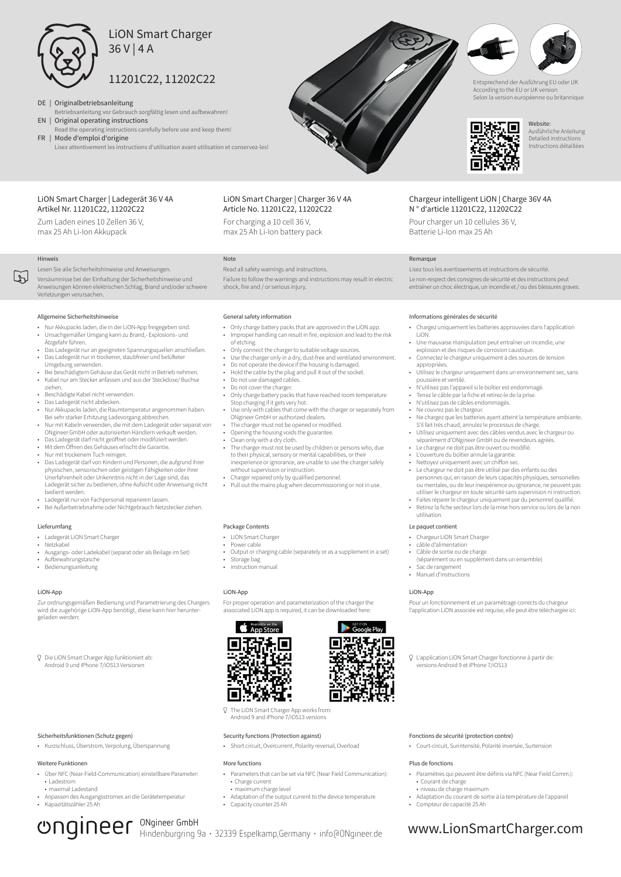

- DE | Originalbetriebsanleitung
- Betriebsanleitung vor Gebrauch sorgfältig lesen und aufbewahren! EN | Original operating instructions
- Read the operating instructions carefully before use and keep them!

FR | Mode d'emploi d'origine Lisez attentivement les instructions d'utilisation avant utilisation et conservez-les!

# LiON Smart Charger | Ladegerät 36 V 4A Artikel Nr. 11201C22, 11202C22

Zum Laden eines 10 Zellen 36 V, max 25 Ah Li-Ion Akkupack

# Hinweis

Li

Lesen Sie alle Sicherheitshinweise und Anweisungen.

Versäumnisse bei der Einhaltung der Sicherheitshinweise und Anweisungen können elektrischen Schlag, Brand und/oder schwere Verletzungen verursachen.

# Allgemeine Sicherheitshinweise

- Nur Akkupacks laden, die in der LiON-App freigegeben sind. • Unsachgemäßer Umgang kann zu Brand,- Explosions- und Ätzgefahr führen.
- Das Ladegerät nur an geeigneten Spannungsquellen anschließen. Das Ladegerät nur in trockener, staubfreier und belüfteter
- Umgebung verwenden. • Bei beschädigtem Gehäuse das Gerät nicht in Betrieb nehmen. • Kabel nur am Stecker anfassen und aus der Steckdose/ Buchse
- ziehen. • Beschädigte Kabel nicht verwenden.<br>• Das Ladegerät nicht abdecken
- Das Ladegerät nicht abdecken.
- Nur Akkupacks laden, die Raumtemperatur angenommen haben. Bei sehr starker Erhitzung Ladevorgang abbrechen.
- Nur mit Kabeln verwenden, die mit dem Ladegerät oder separat von ONgineer GmbH oder autorisierten Händlern verkauft werden.
- Das Ladegerät darf nicht geöffnet oder modifiziert werden.
- Mit dem Öffnen des Gehäuses erlischt die Garantie. • Nur mit trockenem Tuch reinigen.
- Das Ladegerät darf von Kindern und Personen, die aufgrund ihrer physischen, sensorischen oder geistigen Fähigkeiten oder ihrer Unerfahrenheit oder Unkenntnis nicht in der Lage sind, das Ladegerät sicher zu bedienen, ohne Aufsicht oder Anweisung nicht bedient werden.
- Ladegerät nur von Fachpersonal reparieren lassen. • Bei Außerbetriebnahme oder Nichtgebrauch Netzstecker ziehen.

# Lieferumfang

- Ladegerät LiON Smart Charger
- Netzkabel
- Ausgangs- oder Ladekabel (separat oder als Beilage im Set) • Aufbewahrungstasche
- Bedienungsanleitung

# LiON-App

Zur ordnungsgemäßen Bedienung und Parametrierung des Chargers wird die zugehörige LiON-App benötigt, diese kann hier heruntergeladen werden:

Die LiON Smart Charger App funktioniert ab: Android 9 und iPhone 7/iOS13 Versionen

# Sicherheitsfunktionen (Schutz gegen)

• Kurzschluss, Überstrom, Verpolung, Überspannung

## Weitere Funktionen

- Über NFC (Near-Field-Communication) einstellbare Parameter: • Ladestrom
- maximal Ladestand • Anpassen des Ausgangsstromes an die Gerätetemperatur • Kapazitätszähler 25 Ah

# **Ungineer GmbH**

LiON Smart Charger | Charger 36 V 4A Article No. 11201C22, 11202C22

For charging a 10 cell 36 V,

# Note

Read all safety warnings and instructions. Failure to follow the warnings and instructions may result in electric shock, fire and / or serious injury.

## General safety information

- Only charge battery packs that are approved in the LiON app. • Improper handling can result in fire, explosion and lead to the risk
- of etching.
- Only connect the charger to suitable voltage sources. Use the charger only in a dry, dust-free and ventilated environment.
- Do not operate the device if the housing is damaged.
- Hold the cable by the plug and pull it out of the socket. Do not use damaged cables.
- 
- Do not cover the charger.
- Only charge battery packs that have reached room temperature Stop charging if it gets very hot. Use only with cables that come with the charger or separately from
- ONgineer GmbH or authorized dealers. The charger must not be opened or modified.
- Opening the housing voids the guarantee.
- 
- Clean only with a dry cloth. The charger must not be used by children or persons who, due to their physical, sensory or mental capabilities, or their inexperience or ignorance, are unable to use the charger safely without supervision or instruction.
- Charger repaired only by qualified personnel.
- Pull out the mains plug when decommissioning or not in use.

# Package Contents

- LION Smart Charge
- Power cable
- Output or charging cable (separately or as a supplement in a set) Storage bag
- instruction manual

# LiON-App

For proper operation and parameterization of the charger the associated LiON app is required, it can be downloaded here:

# App Store I۳



# Security functions (Protection against)

• Short circuit, Overcurrent, Polarity reversal, Overload

## More functions

- Parameters that can be set via NFC (Near Field Communication): • Charge current
- maximum charge level
- Adaptation of the output current to the device temperature • Capacity counter 25 Ah
- 



max 25 Ah Li-Ion battery pack

# Informations générales de sécurité

Remarque

• Chargez uniquement les batteries approuvées dans l'application LiON.

Le non-respect des consignes de sécurité et des instructions peut entraîner un choc électrique, un incendie et / ou des blessures graves.

Entsprechend der Ausführung EU oder UK According to the EU or UK version Selon la version européenne ou britannique

П

Website: Ausführliche Anleitung Detailed instructions Instructions détaillées

• Une mauvaise manipulation peut entraîner un incendie, une explosion et des risques de corrosion caustique.

Lisez tous les avertissements et instructions de sécurité.

Chargeur intelligent LiON | Charge 36V 4A N ° d'article 11201C22, 11202C22 Pour charger un 10 cellules 36 V, Batterie Li-Ion max 25 Ah

П

- Connectez le chargeur uniquement à des sources de tension appropriées.
- Utilisez le chargeur uniquement dans un environnement sec, sans poussière et ventilé.
- N'utilisez pas l'appareil si le boîtier est endommagé. • Tenez le câble par la fiche et retirez-le de la prise.
- N'utilisez pas de câbles endommagés.
- Ne couvrez pas le chargeur.
- Ne chargez que les batteries ayant atteint la température ambiante. S'il fait très chaud, annulez le processus de charge.
- Utilisez uniquement avec des câbles vendus avec le chargeur ou séparément d'ONgineer GmbH ou de revendeurs agréés.
- Le chargeur ne doit pas être ouvert ou modifié
- L'ouverture du boîtier annule la garantie. • Nettoyez uniquement avec un chiffon sec.
- Le chargeur ne doit pas être utilisé par des enfants ou des personnes qui, en raison de leurs capacités physiques, sensorielles ou mentales, ou de leur inexpérience ou ignorance, ne peuvent pas utiliser le chargeur en toute sécurité sans supervision ni instruction.
- Faites réparer le chargeur uniquement par du personnel qualifié. • Retirez la fiche secteur lors de la mise hors service ou lors de la non

# utilisation.

- Le paquet contient
- Chargeur LiON Smart Charger
- câble d'alimentation • Câble de sortie ou de charge
	- (séparément ou en supplément dans un ensemble)
- Sac de rangement
- Manuel d'instructions

# LiON-App

Pour un fonctionnement et un paramétrage corrects du chargeur l'application LiON associée est requise, elle peut être téléchargée ici:

L'application LiON Smart Charger fonctionne à partir de: versions Android 9 et iPhone 7/iOS13

• Court-circuit, Surintensité, Polarité inversée, Surtension

• Paramètres qui peuvent être définis via NFC (Near Field Comm.):

• Adaptation du courant de sortie à la température de l'appareil

Fonctions de sécurité (protection contre)

Plus de fonctions

• Courant de charge • niveau de charge maximum

• Compteur de capacité 25 Ah